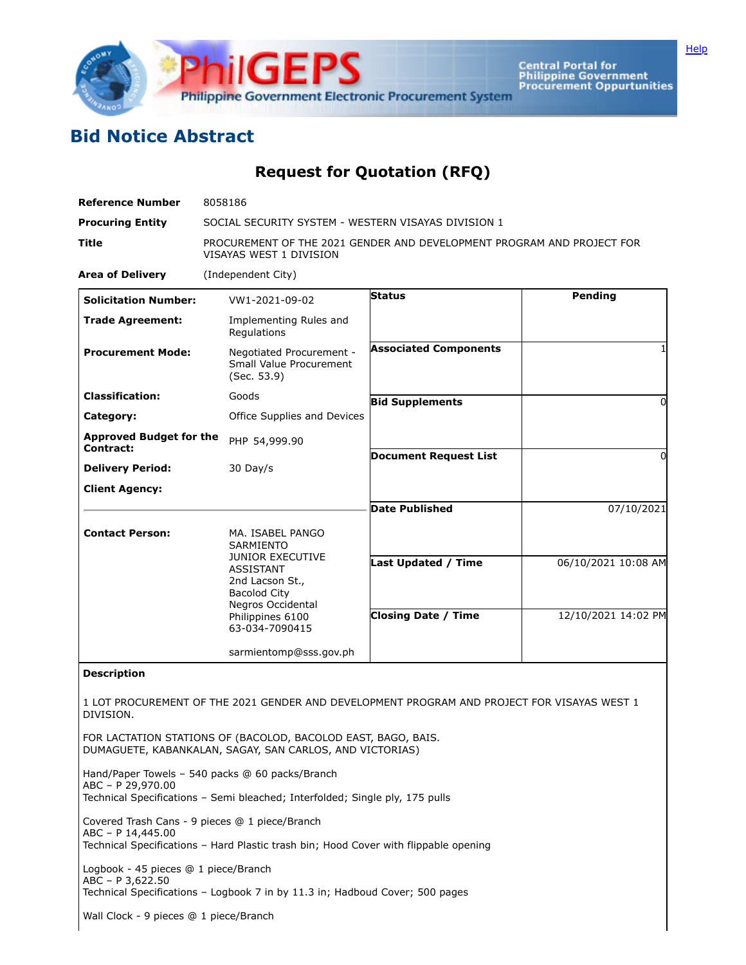

Central Portal for<br>Philippine Government<br>Procurement Oppurtunities

## **Bid Notice Abstract**

## **Request for Quotation (RFQ)**

| <b>Reference Number</b>                                                                                                                                     | 8058186                                                                                             |                              |                     |
|-------------------------------------------------------------------------------------------------------------------------------------------------------------|-----------------------------------------------------------------------------------------------------|------------------------------|---------------------|
| <b>Procuring Entity</b>                                                                                                                                     | SOCIAL SECURITY SYSTEM - WESTERN VISAYAS DIVISION 1                                                 |                              |                     |
| <b>Title</b>                                                                                                                                                | PROCUREMENT OF THE 2021 GENDER AND DEVELOPMENT PROGRAM AND PROJECT FOR<br>VISAYAS WEST 1 DIVISION   |                              |                     |
| <b>Area of Delivery</b>                                                                                                                                     | (Independent City)                                                                                  |                              |                     |
| <b>Solicitation Number:</b>                                                                                                                                 | VW1-2021-09-02                                                                                      | <b>Status</b>                | Pending             |
| <b>Trade Agreement:</b>                                                                                                                                     | Implementing Rules and<br>Regulations                                                               |                              |                     |
| <b>Procurement Mode:</b>                                                                                                                                    | Negotiated Procurement -<br>Small Value Procurement<br>(Sec. 53.9)                                  | <b>Associated Components</b> |                     |
| <b>Classification:</b>                                                                                                                                      | Goods                                                                                               | <b>Bid Supplements</b>       | 0                   |
| Category:                                                                                                                                                   | Office Supplies and Devices                                                                         |                              |                     |
| <b>Approved Budget for the</b><br>Contract:                                                                                                                 | PHP 54,999.90                                                                                       | <b>Document Request List</b> | 0                   |
| <b>Delivery Period:</b>                                                                                                                                     | 30 Day/s                                                                                            |                              |                     |
| <b>Client Agency:</b>                                                                                                                                       |                                                                                                     |                              |                     |
|                                                                                                                                                             |                                                                                                     | <b>Date Published</b>        | 07/10/2021          |
| <b>Contact Person:</b>                                                                                                                                      | MA. ISABEL PANGO<br><b>SARMIENTO</b><br><b>JUNIOR EXECUTIVE</b>                                     | <b>Last Updated / Time</b>   | 06/10/2021 10:08 AM |
|                                                                                                                                                             | <b>ASSISTANT</b><br>2nd Lacson St.,<br><b>Bacolod City</b><br>Negros Occidental<br>Philippines 6100 | <b>Closing Date / Time</b>   | 12/10/2021 14:02 PM |
|                                                                                                                                                             | 63-034-7090415                                                                                      |                              |                     |
|                                                                                                                                                             | sarmientomp@sss.gov.ph                                                                              |                              |                     |
| <b>Description</b>                                                                                                                                          |                                                                                                     |                              |                     |
| 1 LOT PROCUREMENT OF THE 2021 GENDER AND DEVELOPMENT PROGRAM AND PROJECT FOR VISAYAS WEST 1<br>DIVISION.                                                    |                                                                                                     |                              |                     |
| FOR LACTATION STATIONS OF (BACOLOD, BACOLOD EAST, BAGO, BAIS,<br>DUMAGUETE, KABANKALAN, SAGAY, SAN CARLOS, AND VICTORIAS)                                   |                                                                                                     |                              |                     |
| Hand/Paper Towels - 540 packs @ 60 packs/Branch<br>ABC - P 29,970.00<br>Technical Specifications - Semi bleached; Interfolded; Single ply, 175 pulls        |                                                                                                     |                              |                     |
| Covered Trash Cans - 9 pieces @ 1 piece/Branch<br>ABC - P 14,445.00<br>Technical Specifications - Hard Plastic trash bin; Hood Cover with flippable opening |                                                                                                     |                              |                     |
| Logbook - 45 pieces @ 1 piece/Branch<br>ABC - P 3,622.50<br>Technical Specifications - Logbook 7 in by 11.3 in; Hadboud Cover; 500 pages                    |                                                                                                     |                              |                     |
| Wall Clock - 9 pieces @ 1 piece/Branch                                                                                                                      |                                                                                                     |                              |                     |